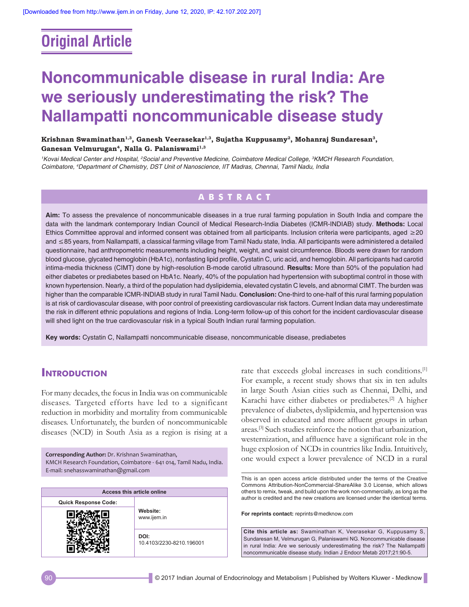# **Original Article**

# **Noncommunicable disease in rural India: Are we seriously underestimating the risk? The Nallampatti noncommunicable disease study**

**Krishnan Swaminathan1,3, Ganesh Veerasekar1,3, Sujatha Kuppusamy2, Mohanraj Sundaresan3,**  Ganesan Velmurugan<sup>4</sup>, Nalla G. Palaniswami<sup>1,3</sup>

*1 Kovai Medical Center and Hospital, 2 Social and Preventive Medicine, Coimbatore Medical College, 3 KMCH Research Foundation, Coimbatore, 4 Department of Chemistry, DST Unit of Nanoscience, IIT Madras, Chennai, Tamil Nadu, India*

## **ABSTRACT**

**Aim:** To assess the prevalence of noncommunicable diseases in a true rural farming population in South India and compare the data with the landmark contemporary Indian Council of Medical Research‑India Diabetes (ICMR‑INDIAB) study. **Methods:** Local Ethics Committee approval and informed consent was obtained from all participants. Inclusion criteria were participants, aged ≥20 and ≤85 years, from Nallampatti, a classical farming village from Tamil Nadu state, India. All participants were administered a detailed questionnaire, had anthropometric measurements including height, weight, and waist circumference. Bloods were drawn for random blood glucose, glycated hemoglobin (HbA1c), nonfasting lipid profile, Cystatin C, uric acid, and hemoglobin. All participants had carotid intima-media thickness (CIMT) done by high-resolution B-mode carotid ultrasound. Results: More than 50% of the population had either diabetes or prediabetes based on HbA1c. Nearly, 40% of the population had hypertension with suboptimal control in those with known hypertension. Nearly, a third of the population had dyslipidemia, elevated cystatin C levels, and abnormal CIMT. The burden was higher than the comparable ICMR‑INDIAB study in rural Tamil Nadu. **Conclusion:** One‑third to one‑half of this rural farming population is at risk of cardiovascular disease, with poor control of preexisting cardiovascular risk factors. Current Indian data may underestimate the risk in different ethnic populations and regions of India. Long-term follow-up of this cohort for the incident cardiovascular disease will shed light on the true cardiovascular risk in a typical South Indian rural farming population.

**Key words:** Cystatin C, Nallampatti noncommunicable disease, noncommunicable disease, prediabetes

## **Introduction**

For many decades, the focus in India was on communicable diseases. Targeted efforts have led to a significant reduction in morbidity and mortality from communicable diseases. Unfortunately, the burden of noncommunicable diseases (NCD) in South Asia as a region is rising at a

**Corresponding Author:** Dr. Krishnan Swaminathan, KMCH Research Foundation, Coimbatore ‑ 641 014, Tamil Nadu, India. E‑mail: snehasswaminathan@gmail.com

| Access this article online  |                                  |  |  |  |
|-----------------------------|----------------------------------|--|--|--|
| <b>Quick Response Code:</b> | Website:<br>www.ijem.in          |  |  |  |
|                             |                                  |  |  |  |
|                             | DOI:<br>10.4103/2230-8210.196001 |  |  |  |

rate that exceeds global increases in such conditions.<sup>[1]</sup> For example, a recent study shows that six in ten adults in large South Asian cities such as Chennai, Delhi, and Karachi have either diabetes or prediabetes.<sup>[2]</sup> A higher prevalence of diabetes, dyslipidemia, and hypertension was observed in educated and more affluent groups in urban areas.[3] Such studies reinforce the notion that urbanization, westernization, and affluence have a significant role in the huge explosion of NCDs in countries like India. Intuitively, one would expect a lower prevalence of NCD in a rural

This is an open access article distributed under the terms of the Creative Commons Attribution‑NonCommercial‑ShareAlike 3.0 License, which allows others to remix, tweak, and build upon the work non‑commercially, as long as the author is credited and the new creations are licensed under the identical terms.

**For reprints contact:** reprints@medknow.com

**Cite this article as:** Swaminathan K, Veerasekar G, Kuppusamy S, Sundaresan M, Velmurugan G, Palaniswami NG. Noncommunicable disease in rural India: Are we seriously underestimating the risk? The Nallampatti noncommunicable disease study. Indian J Endocr Metab 2017;21:90-5.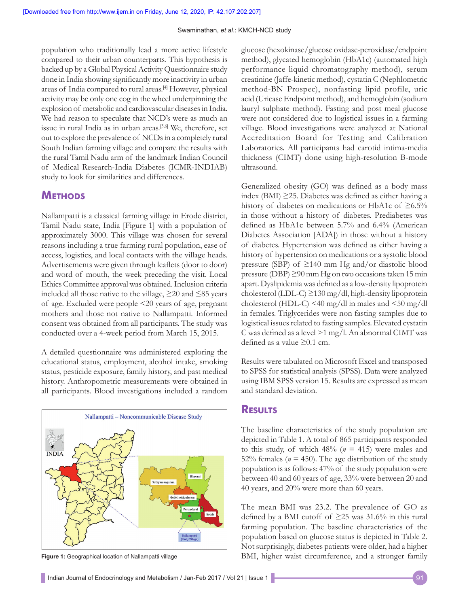population who traditionally lead a more active lifestyle compared to their urban counterparts. This hypothesis is backed up by a Global Physical Activity Questionnaire study done in India showing significantly more inactivity in urban areas of India compared to rural areas.[4] However, physical activity may be only one cog in the wheel underpinning the explosion of metabolic and cardiovascular diseases in India. We had reason to speculate that NCD's were as much an issue in rural India as in urban areas.[5,6] We, therefore, set out to explore the prevalence of NCDs in a completely rural South Indian farming village and compare the results with the rural Tamil Nadu arm of the landmark Indian Council of Medical Research‑India Diabetes (ICMR‑INDIAB) study to look for similarities and differences.

## **Methods**

Nallampatti is a classical farming village in Erode district, Tamil Nadu state, India [Figure 1] with a population of approximately 3000. This village was chosen for several reasons including a true farming rural population, ease of access, logistics, and local contacts with the village heads. Advertisements were given through leaflets (door to door) and word of mouth, the week preceding the visit. Local Ethics Committee approval was obtained. Inclusion criteria included all those native to the village, ≥20 and ≤85 years of age. Excluded were people <20 years of age, pregnant mothers and those not native to Nallampatti. Informed consent was obtained from all participants. The study was conducted over a 4‑week period from March 15, 2015.

A detailed questionnaire was administered exploring the educational status, employment, alcohol intake, smoking status, pesticide exposure, family history, and past medical history. Anthropometric measurements were obtained in all participants. Blood investigations included a random



glucose (hexokinase/glucose oxidase‑peroxidase/endpoint method), glycated hemoglobin (HbA1c) (automated high performance liquid chromatography method), serum creatinine (Jaffe‑kinetic method), cystatin C (Nephlometric method‑BN Prospec), nonfasting lipid profile, uric acid (Uricase Endpoint method), and hemoglobin (sodium lauryl sulphate method). Fasting and post meal glucose were not considered due to logistical issues in a farming village. Blood investigations were analyzed at National Accreditation Board for Testing and Calibration Laboratories. All participants had carotid intima-media thickness (CIMT) done using high‑resolution B‑mode ultrasound.

Generalized obesity (GO) was defined as a body mass index (BMI) ≥25. Diabetes was defined as either having a history of diabetes on medications or HbA1c of  $\geq 6.5\%$ in those without a history of diabetes. Prediabetes was defined as HbA1c between 5.7% and 6.4% (American Diabetes Association [ADA]) in those without a history of diabetes. Hypertension was defined as either having a history of hypertension on medications or a systolic blood pressure (SBP) of  $\geq$ 140 mm Hg and/or diastolic blood pressure (DBP) ≥90 mm Hg on two occasions taken 15 min apart. Dyslipidemia was defined as a low‑density lipoprotein cholesterol (LDL-C)  $\geq$ 130 mg/dl, high-density lipoprotein cholesterol (HDL-C) <40 mg/dl in males and  $\leq$ 50 mg/dl in females. Triglycerides were non fasting samples due to logistical issues related to fasting samples. Elevated cystatin C was defined as a level >1 mg/l. An abnormal CIMT was defined as a value  $\geq 0.1$  cm.

Results were tabulated on Microsoft Excel and transposed to SPSS for statistical analysis (SPSS). Data were analyzed using IBM SPSS version 15. Results are expressed as mean and standard deviation.

### **Results**

The baseline characteristics of the study population are depicted in Table 1. A total of 865 participants responded to this study, of which  $48\%$  ( $n = 415$ ) were males and 52% females ( $n = 450$ ). The age distribution of the study population is as follows: 47% of the study population were between 40 and 60 years of age, 33% were between 20 and 40 years, and 20% were more than 60 years.

The mean BMI was 23.2. The prevalence of GO as defined by a BMI cutoff of  $\geq$ 25 was 31.6% in this rural farming population. The baseline characteristics of the population based on glucose status is depicted in Table 2. Not surprisingly, diabetes patients were older, had a higher **Figure 1:** Geographical location of Nallampatti village BMI, higher waist circumference, and a stronger family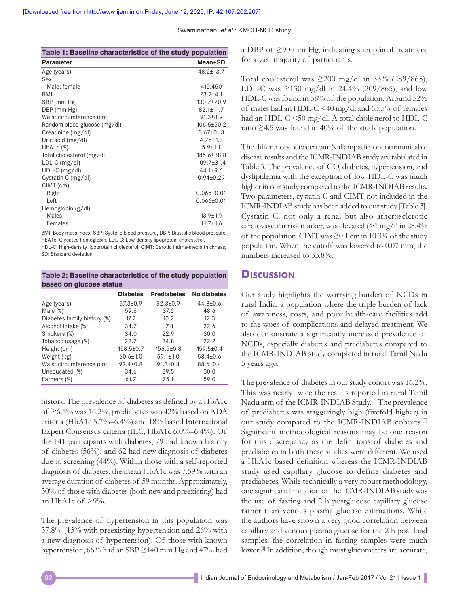| Table 1: Baseline characteristics of the study population                          |                  |  |  |  |
|------------------------------------------------------------------------------------|------------------|--|--|--|
| <b>Parameter</b>                                                                   | Mean±SD          |  |  |  |
| Age (years)                                                                        | $48.2 \pm 13.7$  |  |  |  |
| Sex                                                                                |                  |  |  |  |
| Male: female                                                                       | 415:450          |  |  |  |
| <b>BMI</b>                                                                         | $23.2 + 4.1$     |  |  |  |
| SBP (mm Hg)                                                                        | 130.7±20.9       |  |  |  |
| DBP (mm Hg)                                                                        | $82.1 \pm 11.7$  |  |  |  |
| Waist circumference (cm)                                                           | $91.3 + 8.9$     |  |  |  |
| Random blood glucose (mg/dl)                                                       | $106.5 \pm 50.2$ |  |  |  |
| Creatinine (mg/dl)                                                                 | $0.67 \pm 0.13$  |  |  |  |
| Uric acid $(mg/dl)$                                                                | $4.75 \pm 1.3$   |  |  |  |
| $HbA1c$ $(\%)$                                                                     | $5.9 + 1.1$      |  |  |  |
| Total cholesterol (mg/dl)                                                          | 185.6±38.8       |  |  |  |
| $LDL-C$ (mg/dl)                                                                    | 109.7±31.4       |  |  |  |
| $HDL-C$ (mg/dl)                                                                    | $44.1 + 9.6$     |  |  |  |
| Cystatin C (mg/dl)                                                                 | $0.94 \pm 0.29$  |  |  |  |
| CIMT (cm)                                                                          |                  |  |  |  |
| Right                                                                              | $0.065 \pm 0.01$ |  |  |  |
| Left                                                                               | $0.066 \pm 0.01$ |  |  |  |
| Hemoglobin (g/dl)                                                                  |                  |  |  |  |
| Males                                                                              | $13.9 \pm 1.9$   |  |  |  |
| Females                                                                            | $11.7 \pm 1.6$   |  |  |  |
| BMI: Body mass index. SBP: Systolic blood pressure. DBP: Diastolic blood pressure. |                  |  |  |  |

BMI: Body mass index, SBP: Systolic blood pressure, DBP: Diastolic blood pressure, HbA1c: Glycated hemoglobin, LDL‑C: Low‑density lipoprotein cholesterol, HDL-C: High-density lipoprotein cholesterol, CIMT: Carotid intima-media thickness,

SD: Standard deviation

**Table 2: Baseline characteristics of the study population based on glucose status**

|                             | <b>Diabetes</b> | <b>Prediabetes</b> | No diabetes     |
|-----------------------------|-----------------|--------------------|-----------------|
| Age (years)                 | $57.3 \pm 0.9$  | $52.3 \pm 0.9$     | $44.8 \pm 0.6$  |
| Male $(\%)$                 | 59.6            | 37.6               | 48.6            |
| Diabetes family history (%) | 17.7            | 10.2               | 12.3            |
| Alcohol intake (%)          | 34.7            | 17.8               | 22.6            |
| Smokers (%)                 | 34.0            | 22.9               | 30.0            |
| Tobacco usage (%)           | 22.7            | 24.8               | 22.2            |
| Height (cm)                 | $158.5 \pm 0.7$ | $156.5 \pm 0.8$    | $159.5 \pm 0.4$ |
| Weight (kg)                 | $60.6 \pm 1.0$  | $59.1 \pm 1.0$     | $58.4 \pm 0.6$  |
| Waist circumference (cm)    | $92.4 \pm 0.8$  | $91.3 \pm 0.8$     | $88.6 \pm 0.4$  |
| Uneducated (%)              | 34.6            | 39.5               | 30.0            |
| Farmers (%)                 | 61.7            | 75.1               | 59.0            |

history. The prevalence of diabetes as defined by a HbA1c of ≥6.5% was 16.2%, prediabetes was 42% based on ADA criteria (HbA1c 5.7%–6.4%) and 18% based International Expert Consensus criteria (IEC, HbA1c 6.0%–6.4%). Of the 141 participants with diabetes, 79 had known history of diabetes (56%), and 62 had new diagnosis of diabetes due to screening (44%). Within those with a self‑reported diagnosis of diabetes, the mean HbA1c was 7.59% with an average duration of diabetes of 59 months. Approximately, 30% of those with diabetes(both new and preexisting) had an HbA1c of  $>9\%$ .

The prevalence of hypertension in this population was 37.8% (13% with preexisting hypertension and 26% with a new diagnosis of hypertension). Of those with known hypertension, 66% had an SBP ≥140 mm Hg and 47% had a DBP of ≥90 mm Hg, indicating suboptimal treatment for a vast majority of participants.

Total cholesterol was  $\geq 200$  mg/dl in 33% (289/865), LDL-C was ≥130 mg/dl in 24.4% (209/865), and low HDL-C was found in 58% of the population. Around 52% of males had an HDL-C <40 mg/dl and 63.5% of females had an HDL-C <50 mg/dl. A total cholesterol to HDL-C ratio  $\geq$ 4.5 was found in 40% of the study population.

The differences between our Nallampatti noncommunicable disease results and the ICMR‑INDIAB study are tabulated in Table 3. The prevalence of GO, diabetes, hypertension, and dyslipidemia with the exception of low HDL‑C was much higher in our study compared to the ICMR‑INDIAB results. Two parameters, cystatin C and CIMT not included in the ICMR‑INDIAB study has been added to our study [Table 3]. Cystatin C, not only a renal but also atherosclerotic cardiovascular risk marker, was elevated  $(>1 \text{ mg/l})$  in 28.4% of the population. CIMT was≥0.1 cm in 10.3% of the study population. When the cutoff was lowered to 0.07 mm, the numbers increased to 33.8%.

## **Discussion**

Our study highlights the worrying burden of NCDs in rural India, a population where the triple burden of lack of awareness, costs, and poor health‑care facilities add to the woes of complications and delayed treatment. We also demonstrate a significantly increased prevalence of NCDs, especially diabetes and prediabetes compared to the ICMR‑INDIAB study completed in rural Tamil Nadu 5 years ago.

The prevalence of diabetes in our study cohort was 16.2%. This was nearly twice the results reported in rural Tamil Nadu arm of the ICMR-INDIAB Study.<sup>[7]</sup> The prevalence of prediabetes was staggeringly high (fivefold higher) in our study compared to the ICMR-INDIAB cohorts.<sup>[7]</sup> Significant methodological reasons may be one reason for this discrepancy as the definitions of diabetes and prediabetes in both these studies were different. We used a HbA1c based definition whereas the ICMR‑INDIAB study used capillary glucose to define diabetes and prediabetes. While technically a very robust methodology, one significant limitation of the ICMR‑INDIAB study was the use of fasting and 2 h postglucose capillary glucose rather than venous plasma glucose estimations. While the authors have shown a very good correlation between capillary and venous plasma glucose for the 2 h post load samples, the correlation in fasting samples were much lower.<sup>[8]</sup> In addition, though most glucometers are accurate,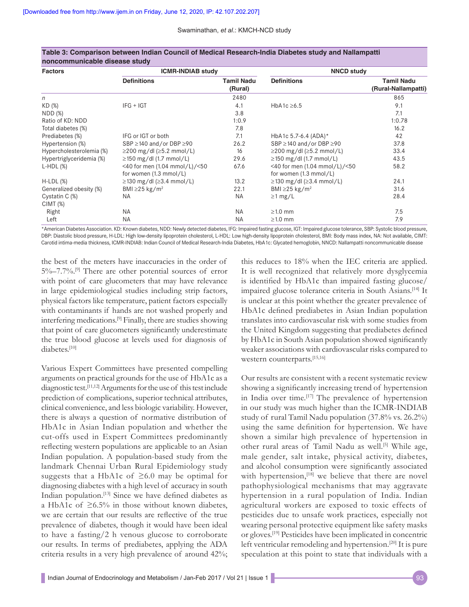#### Swaminathan, *et al*.: KMCH-NCD study

| <b>Factors</b>           | <b>ICMR-INDIAB study</b>              |                              | <b>NNCD study</b>                     |                                          |
|--------------------------|---------------------------------------|------------------------------|---------------------------------------|------------------------------------------|
|                          | <b>Definitions</b>                    | <b>Tamil Nadu</b><br>(Rural) | <b>Definitions</b>                    | <b>Tamil Nadu</b><br>(Rural-Nallampatti) |
| n                        |                                       | 2480                         |                                       | 865                                      |
| KD (%)                   | $IFG + IGT$                           | 4.1                          | HbA1c $\geq 6.5$                      | 9.1                                      |
| NDD(%)                   |                                       | 3.8                          |                                       | 7.1                                      |
| Ratio of KD: NDD         |                                       | 1:0.9                        |                                       | 1:0.78                                   |
| Total diabetes (%)       |                                       | 7.8                          |                                       | 16.2                                     |
| Prediabetes (%)          | IFG or IGT or both                    | 7.1                          | HbA1c 5.7-6.4 (ADA)*                  | 42                                       |
| Hypertension (%)         | SBP $\geq$ 140 and/or DBP $\geq$ 90   | 26.2                         | SBP ≥140 and/or DBP ≥90               | 37.8                                     |
| Hypercholesterolemia (%) | $\geq$ 200 mg/dl ( $\geq$ 5.2 mmol/L) | 16                           | $\geq$ 200 mg/dl ( $\geq$ 5.2 mmol/L) | 33.4                                     |
| Hypertriglyceridemia (%) | $\geq$ 150 mg/dl (1.7 mmol/L)         | 29.6                         | $\geq$ 150 mg/dl (1.7 mmol/L)         | 43.5                                     |
| $L-HDL(%)$               | <40 for men (1.04 mmol/L)/<50         | 67.6                         | <40 for men (1.04 mmol/L)/<50         | 58.2                                     |
|                          | for women $(1.3 \text{ mmol/L})$      |                              | for women $(1.3 \text{ mmol/L})$      |                                          |
| $H-LDL$ $(\%)$           | $\geq$ 130 mg/dl ( $\geq$ 3.4 mmol/L) | 13.2                         | $\geq$ 130 mg/dl ( $\geq$ 3.4 mmol/L) | 24.1                                     |
| Generalized obesity (%)  | BMI $\geq$ 25 kg/m <sup>2</sup>       | 22.1                         | BMI $\geq$ 25 kg/m <sup>2</sup>       | 31.6                                     |
| Cystatin C (%)           | ΝA                                    | NA.                          | $\geq$ 1 mg/L                         | 28.4                                     |
| CIMT(%)                  |                                       |                              |                                       |                                          |
| Right                    | <b>NA</b>                             | <b>NA</b>                    | $\geq$ 1.0 mm                         | 7.5                                      |
| Left                     | <b>NA</b>                             | <b>NA</b>                    | $\geq$ 1.0 mm                         | 7.9                                      |

#### **Table 3: Comparison between Indian Council of Medical Research‑India Diabetes study and Nallampatti noncommunicable disease study**

\*American Diabetes Association. KD: Known diabetes, NDD: Newly detected diabetes, IFG: Impaired fasting glucose, IGT: Impaired glucose tolerance, SBP: Systolic blood pressure, DBP: Diastolic blood pressure, H-LDL: High low-density lipoprotein cholesterol, L-HDL: Low high-density lipoprotein cholesterol, BMI: Body mass index, NA: Not available, CIMT: Carotid intima-media thickness, ICMR-INDIAB: Indian Council of Medical Research-India Diabetes, HbA1c: Glycated hemoglobin, NNCD: Nallampatti noncommunicable disease

the best of the meters have inaccuracies in the order of  $5\%$ –7.7%.<sup>[9]</sup> There are other potential sources of error with point of care glucometers that may have relevance in large epidemiological studies including strip factors, physical factors like temperature, patient factors especially with contaminants if hands are not washed properly and interfering medications.[9] Finally, there are studies showing that point of care glucometers significantly underestimate the true blood glucose at levels used for diagnosis of diabetes.[10]

Various Expert Committees have presented compelling arguments on practical grounds for the use of HbA1c as a diagnostic test.[11,12] Arguments for the use of this test include prediction of complications, superior technical attributes, clinical convenience, and less biologic variability. However, there is always a question of normative distribution of HbA1c in Asian Indian population and whether the cut‑offs used in Expert Committees predominantly reflecting western populations are applicable to an Asian Indian population. A population‑based study from the landmark Chennai Urban Rural Epidemiology study suggests that a HbA1c of  $\geq 6.0$  may be optimal for diagnosing diabetes with a high level of accuracy in south Indian population.<sup>[13]</sup> Since we have defined diabetes as a HbA1c of  $\geq 6.5\%$  in those without known diabetes, we are certain that our results are reflective of the true prevalence of diabetes, though it would have been ideal to have a fasting/2 h venous glucose to corroborate our results. In terms of prediabetes, applying the ADA criteria results in a very high prevalence of around 42%;

this reduces to 18% when the IEC criteria are applied. It is well recognized that relatively more dysglycemia is identified by HbA1c than impaired fasting glucose/ impaired glucose tolerance criteria in South Asians.[14] It is unclear at this point whether the greater prevalence of HbA1c defined prediabetes in Asian Indian population translates into cardiovascular risk with some studies from the United Kingdom suggesting that prediabetes defined by HbA1c in South Asian population showed significantly weaker associations with cardiovascular risks compared to western counterparts.[15,16]

Our results are consistent with a recent systematic review showing a significantly increasing trend of hypertension in India over time.<sup>[17]</sup> The prevalence of hypertension in our study was much higher than the ICMR‑INDIAB study of rural Tamil Nadu population (37.8% vs. 26.2%) using the same definition for hypertension. We have shown a similar high prevalence of hypertension in other rural areas of Tamil Nadu as well.<sup>[5]</sup> While age, male gender, salt intake, physical activity, diabetes, and alcohol consumption were significantly associated with hypertension,<sup>[18]</sup> we believe that there are novel pathophysiological mechanisms that may aggravate hypertension in a rural population of India. Indian agricultural workers are exposed to toxic effects of pesticides due to unsafe work practices, especially not wearing personal protective equipment like safety masks or gloves.[19] Pesticides have been implicated in concentric left ventricular remodeling and hypertension.<sup>[20]</sup> It is pure speculation at this point to state that individuals with a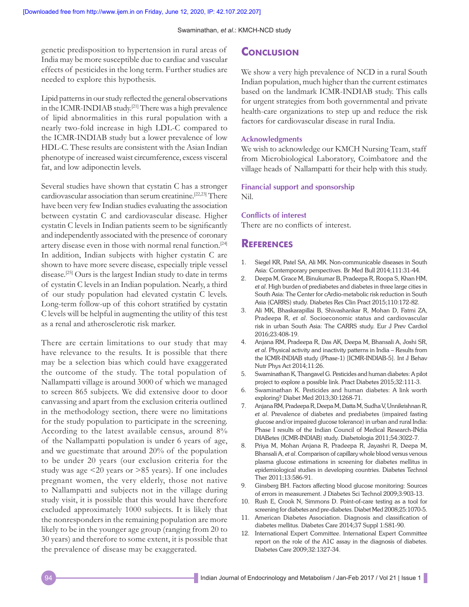#### Swaminathan, *et al*.: KMCH-NCD study

genetic predisposition to hypertension in rural areas of India may be more susceptible due to cardiac and vascular effects of pesticides in the long term. Further studies are needed to explore this hypothesis.

Lipid patterns in our study reflected the general observations in the ICMR-INDIAB study.<sup>[21]</sup> There was a high prevalence of lipid abnormalities in this rural population with a nearly two‑fold increase in high LDL‑C compared to the ICMR‑INDIAB study but a lower prevalence of low HDL-C. These results are consistent with the Asian Indian phenotype of increased waist circumference, excess visceral fat, and low adiponectin levels.

Several studies have shown that cystatin C has a stronger cardiovascular association than serum creatinine.[22,23] There have been very few Indian studies evaluating the association between cystatin C and cardiovascular disease. Higher cystatin C levels in Indian patients seem to be significantly and independently associated with the presence of coronary artery disease even in those with normal renal function.[24] In addition, Indian subjects with higher cystatin C are shown to have more severe disease, especially triple vessel disease.<sup>[25]</sup> Ours is the largest Indian study to date in terms of cystatin C levels in an Indian population. Nearly, a third of our study population had elevated cystatin C levels. Long-term follow-up of this cohort stratified by cystatin C levels will be helpful in augmenting the utility of this test as a renal and atherosclerotic risk marker.

There are certain limitations to our study that may have relevance to the results. It is possible that there may be a selection bias which could have exaggerated the outcome of the study. The total population of Nallampatti village is around 3000 of which we managed to screen 865 subjects. We did extensive door to door canvassing and apart from the exclusion criteria outlined in the methodology section, there were no limitations for the study population to participate in the screening. According to the latest available census, around 8% of the Nallampatti population is under 6 years of age, and we guestimate that around 20% of the population to be under 20 years (our exclusion criteria for the study was age <20 years or >85 years). If one includes pregnant women, the very elderly, those not native to Nallampatti and subjects not in the village during study visit, it is possible that this would have therefore excluded approximately 1000 subjects. It is likely that the nonresponders in the remaining population are more likely to be in the younger age group (ranging from 20 to 30 years) and therefore to some extent, it is possible that the prevalence of disease may be exaggerated.

## **Conclusion**

We show a very high prevalence of NCD in a rural South Indian population, much higher than the current estimates based on the landmark ICMR‑INDIAB study. This calls for urgent strategies from both governmental and private health-care organizations to step up and reduce the risk factors for cardiovascular disease in rural India.

#### **Acknowledgments**

We wish to acknowledge our KMCH Nursing Team, staff from Microbiological Laboratory, Coimbatore and the village heads of Nallampatti for their help with this study.

## **Financial support and sponsorship**

Nil.

#### **Conflicts of interest**

There are no conflicts of interest.

### **References**

- 1. Siegel KR, Patel SA, Ali MK. Non‑communicable diseases in South Asia: Contemporary perspectives. Br Med Bull 2014;111:31-44.
- 2. Deepa M, Grace M, Binukumar B, Pradeepa R, Roopa S, Khan HM, *et al*. High burden of prediabetes and diabetes in three large cities in South Asia: The Center for cArdio‑metabolic risk reduction in South Asia (CARRS) study. Diabetes Res Clin Pract 2015;110:172‑82.
- 3. Ali MK, Bhaskarapillai B, Shivashankar R, Mohan D, Fatmi ZA, Pradeepa R, *et al*. Socioeconomic status and cardiovascular risk in urban South Asia: The CARRS study. Eur J Prev Cardiol 2016;23:408‑19.
- 4. Anjana RM, Pradeepa R, Das AK, Deepa M, Bhansali A, Joshi SR, *et al*. Physical activity and inactivity patterns in India – Results from the ICMR‑INDIAB study (Phase‑1) [ICMR‑INDIAB‑5]. Int J Behav Nutr Phys Act 2014;11:26.
- 5. Swaminathan K, Thangavel G. Pesticides and human diabetes: A pilot project to explore a possible link. Pract Diabetes 2015;32:111‑3.
- 6. Swaminathan K. Pesticides and human diabetes: A link worth exploring? Diabet Med 2013;30:1268‑71.
- 7. AnjanaRM, PradeepaR, Deepa M, Datta M, SudhaV, UnnikrishnanR, *et al*. Prevalence of diabetes and prediabetes (impaired fasting glucose and/or impaired glucose tolerance) in urban and rural India: Phase I results of the Indian Council of Medical Research-INdia DIABetes (ICMR‑INDIAB) study. Diabetologia 2011;54:3022‑7.
- 8. Priya M, Mohan Anjana R, Pradeepa R, Jayashri R, Deepa M, Bhansali A, *et al*. Comparison of capillary whole blood versus venous plasma glucose estimations in screening for diabetes mellitus in epidemiological studies in developing countries. Diabetes Technol Ther 2011;13:586‑91.
- 9. Ginsberg BH. Factors affecting blood glucose monitoring: Sources of errors in measurement. J Diabetes Sci Technol 2009;3:903‑13.
- 10. Rush E, Crook N, Simmons D. Point-of-care testing as a tool for screening for diabetes and pre‑diabetes. Diabet Med 2008;25:1070‑5.
- 11. American Diabetes Association. Diagnosis and classification of diabetes mellitus. Diabetes Care 2014;37 Suppl 1:S81‑90.
- 12. International Expert Committee. International Expert Committee report on the role of the A1C assay in the diagnosis of diabetes. Diabetes Care 2009;32:1327‑34.